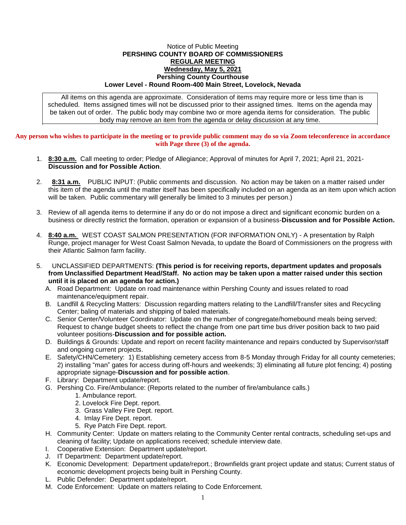## Notice of Public Meeting **PERSHING COUNTY BOARD OF COMMISSIONERS REGULAR MEETING Wednesday, May 5, 2021 Pershing County Courthouse Lower Level - Round Room-400 Main Street, Lovelock, Nevada**

All items on this agenda are approximate. Consideration of items may require more or less time than is scheduled. Items assigned times will not be discussed prior to their assigned times. Items on the agenda may be taken out of order. The public body may combine two or more agenda items for consideration. The public body may remove an item from the agenda or delay discussion at any time.

**Any person who wishes to participate in the meeting or to provide public comment may do so via Zoom teleconference in accordance with Page three (3) of the agenda.**

- 1. **8:30 a.m.** Call meeting to order; Pledge of Allegiance; Approval of minutes for April 7, 2021; April 21, 2021- **Discussion and for Possible Action**.
- 2. **8:31 a.m.** PUBLIC INPUT: (Public comments and discussion. No action may be taken on a matter raised under this item of the agenda until the matter itself has been specifically included on an agenda as an item upon which action will be taken. Public commentary will generally be limited to 3 minutes per person.)
- 3. Review of all agenda items to determine if any do or do not impose a direct and significant economic burden on a business or directly restrict the formation, operation or expansion of a business-**Discussion and for Possible Action.**
- 4. **8:40 a.m.** WEST COAST SALMON PRESENTATION (FOR INFORMATION ONLY) A presentation by Ralph Runge, project manager for West Coast Salmon Nevada, to update the Board of Commissioners on the progress with their Atlantic Salmon farm facility.
- 5. UNCLASSIFIED DEPARTMENTS: **(This period is for receiving reports, department updates and proposals from Unclassified Department Head/Staff. No action may be taken upon a matter raised under this section until it is placed on an agenda for action.)**
	- A. Road Department: Update on road maintenance within Pershing County and issues related to road maintenance/equipment repair.
	- B. Landfill & Recycling Matters: Discussion regarding matters relating to the Landfill/Transfer sites and Recycling Center; baling of materials and shipping of baled materials.
	- C. Senior Center/Volunteer Coordinator: Update on the number of congregate/homebound meals being served; Request to change budget sheets to reflect the change from one part time bus driver position back to two paid volunteer positions-**Discussion and for possible action.**
	- D. Buildings & Grounds: Update and report on recent facility maintenance and repairs conducted by Supervisor/staff and ongoing current projects.
	- E. Safety/CHN/Cemetery: 1) Establishing cemetery access from 8-5 Monday through Friday for all county cemeteries; 2) installing "man" gates for access during off-hours and weekends; 3) eliminating all future plot fencing; 4) posting appropriate signage-**Discussion and for possible action**.
	- F. Library: Department update/report.
	- G. Pershing Co. Fire/Ambulance: (Reports related to the number of fire/ambulance calls.)
		- 1. Ambulance report.
		- 2. Lovelock Fire Dept. report.
		- 3. Grass Valley Fire Dept. report.
		- 4. Imlay Fire Dept. report.
		- 5. Rye Patch Fire Dept. report.
	- H. Community Center: Update on matters relating to the Community Center rental contracts, scheduling set-ups and cleaning of facility; Update on applications received; schedule interview date.
	- I. Cooperative Extension: Department update/report.
	- J. IT Department: Department update/report.
	- K. Economic Development: Department update/report.; Brownfields grant project update and status; Current status of economic development projects being built in Pershing County.
	- L. Public Defender: Department update/report.
	- M. Code Enforcement: Update on matters relating to Code Enforcement.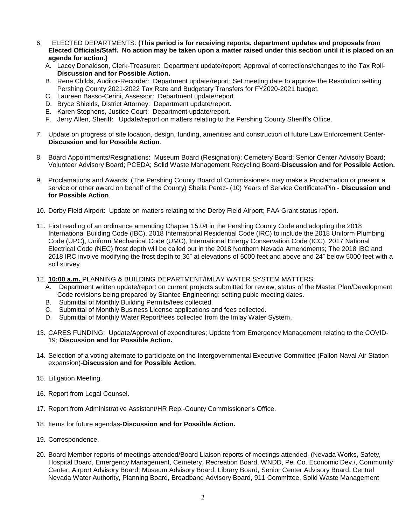- 6. ELECTED DEPARTMENTS: **(This period is for receiving reports, department updates and proposals from Elected Officials/Staff. No action may be taken upon a matter raised under this section until it is placed on an agenda for action.)**
	- A. Lacey Donaldson, Clerk-Treasurer: Department update/report; Approval of corrections/changes to the Tax Roll-**Discussion and for Possible Action.**
	- B. Rene Childs, Auditor-Recorder: Department update/report; Set meeting date to approve the Resolution setting Pershing County 2021-2022 Tax Rate and Budgetary Transfers for FY2020-2021 budget.
	- C. Laureen Basso-Cerini, Assessor: Department update/report.
	- D. Bryce Shields, District Attorney: Department update/report.
	- E. Karen Stephens, Justice Court: Department update/report.
	- F. Jerry Allen, Sheriff: Update/report on matters relating to the Pershing County Sheriff's Office.
- 7. Update on progress of site location, design, funding, amenities and construction of future Law Enforcement Center-**Discussion and for Possible Action**.
- 8. Board Appointments/Resignations: Museum Board (Resignation); Cemetery Board; Senior Center Advisory Board; Volunteer Advisory Board; PCEDA; Solid Waste Management Recycling Board-**Discussion and for Possible Action.**
- 9. Proclamations and Awards: (The Pershing County Board of Commissioners may make a Proclamation or present a service or other award on behalf of the County) Sheila Perez- (10) Years of Service Certificate/Pin - **Discussion and for Possible Action**.
- 10. Derby Field Airport: Update on matters relating to the Derby Field Airport; FAA Grant status report.
- 11. First reading of an ordinance amending Chapter 15.04 in the Pershing County Code and adopting the 2018 International Building Code (IBC), 2018 International Residential Code (IRC) to include the 2018 Uniform Plumbing Code (UPC), Uniform Mechanical Code (UMC), International Energy Conservation Code (ICC), 2017 National Electrical Code (NEC) frost depth will be called out in the 2018 Northern Nevada Amendments; The 2018 IBC and 2018 IRC involve modifying the frost depth to 36" at elevations of 5000 feet and above and 24" below 5000 feet with a soil survey.
- 12. **10:00 a.m.** PLANNING & BUILDING DEPARTMENT/IMLAY WATER SYSTEM MATTERS:
	- A. Department written update/report on current projects submitted for review; status of the Master Plan/Development Code revisions being prepared by Stantec Engineering; setting pubic meeting dates.
	- B. Submittal of Monthly Building Permits/fees collected.
	- C. Submittal of Monthly Business License applications and fees collected.
	- D. Submittal of Monthly Water Report/fees collected from the Imlay Water System.
- 13. CARES FUNDING: Update/Approval of expenditures; Update from Emergency Management relating to the COVID-19; **Discussion and for Possible Action.**
- 14. Selection of a voting alternate to participate on the Intergovernmental Executive Committee (Fallon Naval Air Station expansion)-**Discussion and for Possible Action.**
- 15. Litigation Meeting.
- 16. Report from Legal Counsel.
- 17. Report from Administrative Assistant/HR Rep.-County Commissioner's Office.
- 18. Items for future agendas-**Discussion and for Possible Action.**
- 19. Correspondence.
- 20. Board Member reports of meetings attended/Board Liaison reports of meetings attended. (Nevada Works, Safety, Hospital Board, Emergency Management, Cemetery, Recreation Board, WNDD, Pe. Co. Economic Dev./, Community Center, Airport Advisory Board; Museum Advisory Board, Library Board, Senior Center Advisory Board, Central Nevada Water Authority, Planning Board, Broadband Advisory Board, 911 Committee, Solid Waste Management